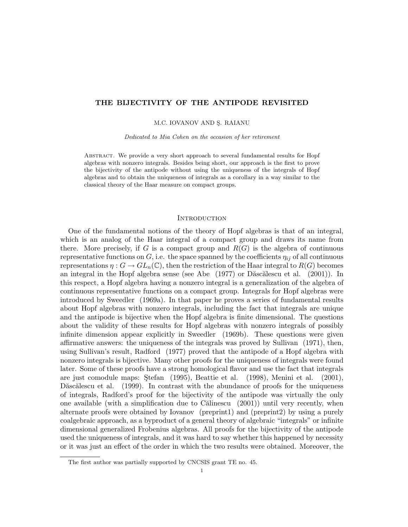# THE BIJECTIVITY OF THE ANTIPODE REVISITED

M.C. IOVANOV AND S. RAIANU

Dedicated to Mia Cohen on the occasion of her retirement

Abstract. We provide a very short approach to several fundamental results for Hopf algebras with nonzero integrals. Besides being short, our approach is the first to prove the bijectivity of the antipode without using the uniqueness of the integrals of Hopf algebras and to obtain the uniqueness of integrals as a corollary in a way similar to the classical theory of the Haar measure on compact groups.

### **INTRODUCTION**

One of the fundamental notions of the theory of Hopf algebras is that of an integral, which is an analog of the Haar integral of a compact group and draws its name from there. More precisely, if G is a compact group and  $R(G)$  is the algebra of continuous representative functions on  $G$ , i.e. the space spanned by the coefficients  $\eta_{ij}$  of all continuous representations  $\eta: G \to GL_n(\mathbb{C})$ , then the restriction of the Haar integral to  $R(G)$  becomes an integral in the Hopf algebra sense (see Abe  $(1977)$  or Dăscălescu et al.  $(2001)$ ). In this respect, a Hopf algebra having a nonzero integral is a generalization of the algebra of continuous representative functions on a compact group. Integrals for Hopf algebras were introduced by Sweedler (1969a). In that paper he proves a series of fundamental results about Hopf algebras with nonzero integrals, including the fact that integrals are unique and the antipode is bijective when the Hopf algebra is finite dimensional. The questions about the validity of these results for Hopf algebras with nonzero integrals of possibly infinite dimension appear explicitly in Sweedler (1969b). These questions were given affirmative answers: the uniqueness of the integrals was proved by Sullivan (1971), then, using Sullivan's result, Radford (1977) proved that the antipode of a Hopf algebra with nonzero integrals is bijective. Many other proofs for the uniqueness of integrals were found later. Some of these proofs have a strong homological flavor and use the fact that integrals are just comodule maps: Stefan  $(1995)$ , Beattie et al.  $(1998)$ , Menini et al.  $(2001)$ , Dascălescu et al. (1999). In contrast with the abundance of proofs for the uniqueness of integrals, Radford's proof for the bijectivity of the antipode was virtually the only one available (with a simplification due to C $\tilde{a}$ linescu (2001)) until very recently, when alternate proofs were obtained by Iovanov (preprint1) and (preprint2) by using a purely coalgebraic approach, as a byproduct of a general theory of algebraic "integrals" or infinite dimensional generalized Frobenius algebras. All proofs for the bijectivity of the antipode used the uniqueness of integrals, and it was hard to say whether this happened by necessity or it was just an effect of the order in which the two results were obtained. Moreover, the

The first author was partially supported by CNCSIS grant TE no. 45.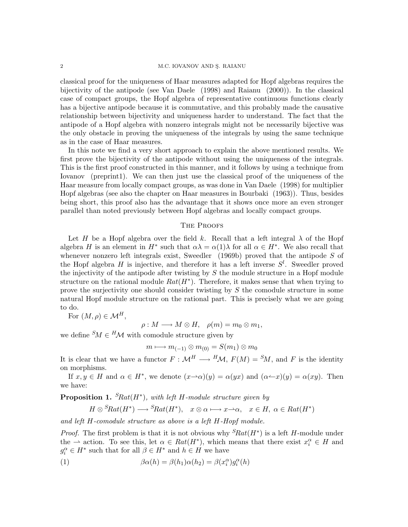#### 2 M.C. IOVANOV AND Ş. RAIANU

classical proof for the uniqueness of Haar measures adapted for Hopf algebras requires the bijectivity of the antipode (see Van Daele (1998) and Raianu (2000)). In the classical case of compact groups, the Hopf algebra of representative continuous functions clearly has a bijective antipode because it is commutative, and this probably made the causative relationship between bijectivity and uniqueness harder to understand. The fact that the antipode of a Hopf algebra with nonzero integrals might not be necessarily bijective was the only obstacle in proving the uniqueness of the integrals by using the same technique as in the case of Haar measures.

In this note we find a very short approach to explain the above mentioned results. We first prove the bijectivity of the antipode without using the uniqueness of the integrals. This is the first proof constructed in this manner, and it follows by using a technique from Iovanov (preprint1). We can then just use the classical proof of the uniqueness of the Haar measure from locally compact groups, as was done in Van Daele (1998) for multiplier Hopf algebras (see also the chapter on Haar measures in Bourbaki (1963)). Thus, besides being short, this proof also has the advantage that it shows once more an even stronger parallel than noted previously between Hopf algebras and locally compact groups.

## THE PROOFS

Let H be a Hopf algebra over the field k. Recall that a left integral  $\lambda$  of the Hopf algebra H is an element in  $H^*$  such that  $\alpha\lambda = \alpha(1)\lambda$  for all  $\alpha \in H^*$ . We also recall that whenever nonzero left integrals exist, Sweedler  $(1969b)$  proved that the antipode S of the Hopf algebra H is injective, and therefore it has a left inverse  $S<sup>l</sup>$ . Sweedler proved the injectivity of the antipode after twisting by  $S$  the module structure in a Hopf module structure on the rational module  $Rat(H^*)$ . Therefore, it makes sense that when trying to prove the surjectivity one should consider twisting by S the comodule structure in some natural Hopf module structure on the rational part. This is precisely what we are going to do.

For  $(M, \rho) \in \mathcal{M}^H$ ,

 $\rho: M \longrightarrow M \otimes H, \quad \rho(m) = m_0 \otimes m_1,$ 

we define  ${}^S\!M \in {}^H\!{\mathcal{M}}$  with comodule structure given by

$$
m\longmapsto m_{(-1)}\otimes m_{(0)}=S(m_1)\otimes m_0
$$

It is clear that we have a functor  $F : \mathcal{M}^H \longrightarrow {}^H \mathcal{M}$ ,  $F(M) = {}^S \! M$ , and F is the identity on morphisms.

If  $x, y \in H$  and  $\alpha \in H^*$ , we denote  $(x \rightarrow \alpha)(y) = \alpha(yx)$  and  $(\alpha \rightarrow x)(y) = \alpha(xy)$ . Then we have:

**Proposition 1.**  ${}^{S}\text{Rat}(H^*)$ , with left H-module structure given by

$$
H \otimes^S Rat(H^*) \longrightarrow^S Rat(H^*), \quad x \otimes \alpha \longmapsto x \longrightarrow \alpha, \quad x \in H, \ \alpha \in Rat(H^*)
$$

and left H-comodule structure as above is a left H-Hopf module.

*Proof.* The first problem is that it is not obvious why  $S Rat(H^*)$  is a left H-module under the  $\rightarrow$  action. To see this, let  $\alpha \in Rat(H^*)$ , which means that there exist  $x_i^{\alpha} \in H$  and  $g_i^{\alpha} \in H^*$  such that for all  $\beta \in H^*$  and  $h \in H$  we have

(1) 
$$
\beta \alpha(h) = \beta(h_1)\alpha(h_2) = \beta(x_i^{\alpha})g_i^{\alpha}(h)
$$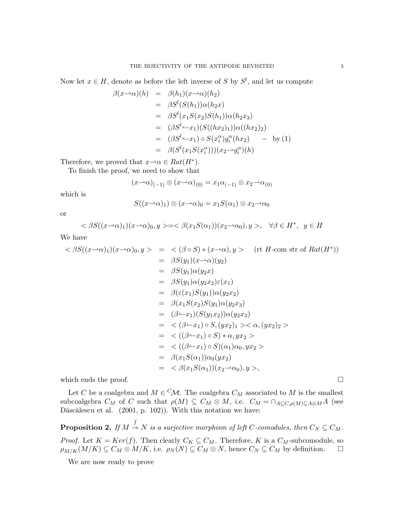Now let  $x \in H$ , denote as before the left inverse of S by  $S<sup>l</sup>$ , and let us compute

$$
\beta(x \to \alpha)(h) = \beta(h_1)(x \to \alpha)(h_2)
$$
  
\n
$$
= \beta S^l(S(h_1))\alpha(h_2 x)
$$
  
\n
$$
= \beta S^l(x_1 S(x_2) S(h_1))\alpha(h_2 x_3)
$$
  
\n
$$
= (\beta S^l \to x_1)(S((hx_2)_1))\alpha((hx_2)_2)
$$
  
\n
$$
= (\beta S^l \to x_1) \circ S(x_i^{\alpha})g_i^{\alpha}(hx_2) \to \text{by (1)}
$$
  
\n
$$
= \beta(S^l(x_1 S(x_i^{\alpha})))(x_2 \to g_i^{\alpha})(h)
$$

Therefore, we proved that  $x \rightarrow \alpha \in Rat(H^*)$ .

To finish the proof, we need to show that

$$
(x\rightarrow \alpha)_{(-1)} \otimes (x\rightarrow \alpha)_{(0)} = x_1\alpha_{(-1)} \otimes x_2 \rightarrow \alpha_{(0)}
$$

which is

$$
S((x\rightarrow \alpha)_1) \otimes (x\rightarrow \alpha)_0 = x_1 S(\alpha_1) \otimes x_2 \rightarrow \alpha_0
$$

or

$$
\langle \beta S((x-\alpha)_1)(x-\alpha)_0, y \rangle = \langle \beta(x_1S(\alpha_1))(x_2-\alpha_0), y \rangle, \quad \forall \beta \in H^*, \ y \in H
$$

We have

$$
\langle \beta S((x \rightarrow \alpha)_1)(x \rightarrow \alpha)_0, y \rangle = \langle (\beta \circ S) * (x \rightarrow \alpha), y \rangle \quad (\text{rt } H \text{-com str of } Rat(H^*))
$$
  
\n
$$
= \beta S(y_1)(x \rightarrow \alpha)(y_2)
$$
  
\n
$$
= \beta S(y_1)\alpha(y_2x)
$$
  
\n
$$
= \beta S(y_1)\alpha(y_2x_2)\varepsilon(x_1)
$$
  
\n
$$
= \beta(\varepsilon(x_1)S(y_1))\alpha(y_2x_2)
$$
  
\n
$$
= \beta(x_1S(x_2)S(y_1)\alpha(y_2x_3)
$$
  
\n
$$
= (\beta \rightarrow x_1)(S(y_1x_2))\alpha(y_2x_3)
$$
  
\n
$$
= \langle (\beta \rightarrow x_1) \circ S, (yx_2)_1 \rangle \langle \alpha, (yx_2)_2 \rangle
$$
  
\n
$$
= \langle ((\beta \rightarrow x_1) \circ S) * \alpha, yx_2 \rangle
$$
  
\n
$$
= \langle ((\beta \rightarrow x_1) \circ S)(\alpha_1)\alpha_0, yx_2 \rangle
$$
  
\n
$$
= \beta(x_1S(\alpha_1))\alpha_0(yx_2)
$$
  
\n
$$
= \langle \beta(x_1S(\alpha_1))(x_2 \rightarrow \alpha_0), y \rangle,
$$

which ends the proof.  $\Box$ 

Let C be a coalgebra and  $M \in \mathcal{CM}$ . The coalgebra  $C_M$  associated to M is the smallest subcoalgebra  $C_M$  of C such that  $\rho(M) \subseteq C_M \otimes M$ , i.e.  $C_M = \cap_{A \subseteq C, \rho(M) \subseteq A \otimes M} A$  (see Dăscălescu et al. (2001, p. 102)). With this notation we have:

**Proposition 2.** If  $M \xrightarrow{f} N$  is a surjective morphism of left C-comodules, then  $C_N \subseteq C_M$ . *Proof.* Let  $K = Ker(f)$ . Then clearly  $C_K \subseteq C_M$ . Therefore, K is a  $C_M$ -subcomodule, so  $\rho_{M/K}(M/K) \subseteq C_M \otimes M/K$ , i.e.  $\rho_N(N) \subseteq C_M \otimes N$ , hence  $C_N \subseteq C_M$  by definition.  $\square$ 

We are now ready to prove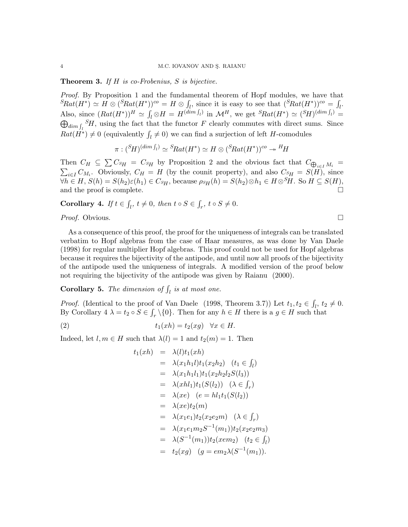**Theorem 3.** If  $H$  is co-Frobenius,  $S$  is bijective.

Proof. By Proposition 1 and the fundamental theorem of Hopf modules, we have that  ${}^{S}Rat(H^*)\simeq H\otimes ({}^{S}Rat(H^*))^{co}=H\otimes \int_{l}$ , since it is easy to see that  $({}^{S}Rat(H^*))^{co}=\int_{l}$ . Also, since  $(Rat(H^*))^H \simeq \int_l \otimes H = H^{(dim \int_l)}$  in  $\mathcal{M}^H$ , we get  $^S Rat(H^*) \simeq {^S H})^{(dim \int_l)} =$  $\bigoplus_{dim \int_l} {}^S H$ , using the fact that the functor F clearly commutes with direct sums. Since  $Rat(\overrightarrow{H^*}) \neq 0$  (equivalently  $\int_l \neq 0$ ) we can find a surjection of left H-comodules

$$
\pi : ({}^{S}\!H)^{(\dim f_i)} \simeq {}^{S}\!Rat(H^*) \simeq H \otimes ({}^{S}\!Rat(H^*))^{co} \twoheadrightarrow {}^{H}\!H
$$

Then  $C_H \subseteq \sum C_{SH} = C_{SH}$  by Proposition 2 and the obvious fact that  $C_{\bigoplus}$ Then  $C_H \subseteq \sum C_{SH} = C_{SH}$  by Proposition 2 and the obvious fact that  $C_{\bigoplus_{i \in I} M_i} = \sum_{i \in I} C_{M_i}$ . Obviously,  $C_H = H$  (by the counit property), and also  $C_{SH} = S(H)$ , since  $\forall h \in H, S(h) = S(h_2)\varepsilon(h_1) \in C_{SH}$ , because  $\rho_{SH}(h) = S(h_2) \otimes h_1 \in H \otimes^S H$ . So  $H \subseteq S(H)$ , and the proof is complete.

**Corollary 4.** If  $t \in \int_{l}$ ,  $t \neq 0$ , then  $t \circ S \in \int_{r}$ ,  $t \circ S \neq 0$ .

*Proof.* Obvious. □

As a consequence of this proof, the proof for the uniqueness of integrals can be translated verbatim to Hopf algebras from the case of Haar measures, as was done by Van Daele (1998) for regular multiplier Hopf algebras. This proof could not be used for Hopf algebras because it requires the bijectivity of the antipode, and until now all proofs of the bijectivity of the antipode used the uniqueness of integrals. A modified version of the proof below not requiring the bijectivity of the antipode was given by Raianu (2000).

**Corollary 5.** The dimension of  $\int_{l}$  is at most one.

*Proof.* (Identical to the proof of Van Daele (1998, Theorem 3.7)) Let  $t_1, t_2 \in \int_l, t_2 \neq 0$ . By Corollary  $4 \lambda = t_2 \circ S \in \int_r \setminus \{0\}$ . Then for any  $h \in H$  there is a  $g \in H$  such that

(2) 
$$
t_1(xh) = t_2(xg) \quad \forall x \in H.
$$

Indeed, let  $l, m \in H$  such that  $\lambda(l) = 1$  and  $t_2(m) = 1$ . Then

$$
t_1(xh) = \lambda(l)t_1(xh)
$$
  
\n
$$
= \lambda(x_1h_1l)t_1(x_2h_2) \quad (t_1 \in \int_l)
$$
  
\n
$$
= \lambda(x_1h_1l_1)t_1(x_2h_2l_2S(l_3))
$$
  
\n
$$
= \lambda(xhl_1)t_1(S(l_2)) \quad (\lambda \in \int_r)
$$
  
\n
$$
= \lambda(xe) \quad (e = hl_1t_1(S(l_2))
$$
  
\n
$$
= \lambda(xe)t_2(m)
$$
  
\n
$$
= \lambda(x_1e_1)t_2(x_2e_2m) \quad (\lambda \in \int_r)
$$
  
\n
$$
= \lambda(x_1e_1m_2S^{-1}(m_1))t_2(x_2e_2m_3)
$$
  
\n
$$
= \lambda(S^{-1}(m_1))t_2(xem_2) \quad (t_2 \in \int_l)
$$
  
\n
$$
= t_2(xg) \quad (g = em_2\lambda(S^{-1}(m_1)).
$$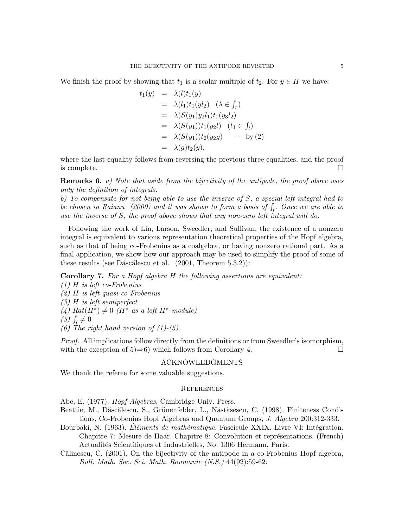We finish the proof by showing that  $t_1$  is a scalar multiple of  $t_2$ . For  $y \in H$  we have:

$$
t_1(y) = \lambda(l)t_1(y)
$$
  
\n
$$
= \lambda(l_1)t_1(yl_2) \quad (\lambda \in \int_r)
$$
  
\n
$$
= \lambda(S(y_1)y_2l_1)t_1(y_3l_2)
$$
  
\n
$$
= \lambda(S(y_1))t_1(y_2l) \quad (t_1 \in \int_l)
$$
  
\n
$$
= \lambda(S(y_1))t_2(y_2g) \quad - \text{ by (2)}
$$
  
\n
$$
= \lambda(g)t_2(y),
$$

where the last equality follows from reversing the previous three equalities, and the proof is complete.  $\square$ 

Remarks 6. a) Note that aside from the bijectivity of the antipode, the proof above uses only the definition of integrals.

b) To compensate for not being able to use the inverse of S, a special left integral had to be chosen in Raianu (2000) and it was shown to form a basis of  $\int_l$ . Once we are able to use the inverse of S, the proof above shows that any non-zero left integral will do.

Following the work of Lin, Larson, Sweedler, and Sullivan, the existence of a nonzero integral is equivalent to various representation theoretical properties of the Hopf algebra, such as that of being co-Frobenius as a coalgebra, or having nonzero rational part. As a final application, we show how our approach may be used to simplify the proof of some of these results (see Dăscălescu et al.  $(2001,$  Theorem  $5.3.2)$ ):

Corollary 7. For a Hopf algebra H the following assertions are equivalent:

(1) H is left co-Frobenius (2) H is left quasi-co-Frobenius (3) H is left semiperfect  $(4)$  Rat $(H^*) \neq 0$  (H<sup>\*</sup> as a left H<sup>\*</sup>-module) (5)  $\int_l \neq 0$ 

(6) The right hand version of  $(1)-(5)$ 

Proof. All implications follow directly from the definitions or from Sweedler's isomorphism, with the exception of 5) $\Rightarrow$ 6) which follows from Corollary 4.

# ACKNOWLEDGMENTS

We thank the referee for some valuable suggestions.

### **REFERENCES**

Abe, E. (1977). Hopf Algebras, Cambridge Univ. Press.

- Beattie, M., Dăscălescu, S., Grünenfelder, L., Năstăsescu, C. (1998). Finiteness Conditions, Co-Frobenius Hopf Algebras and Quantum Groups, J. Algebra 200:312-333.
- Bourbaki, N. (1963). Eléments de mathématique. Fascicule XXIX. Livre VI: Intégration. Chapitre 7: Mesure de Haar. Chapitre 8: Convolution et représentations. (French) Actualités Scientifiques et Industrielles, No. 1306 Hermann, Paris.
- Călinescu, C. (2001). On the bijectivity of the antipode in a co-Frobenius Hopf algebra, Bull. Math. Soc. Sci. Math. Roumanie (N.S.) 44(92):59-62.